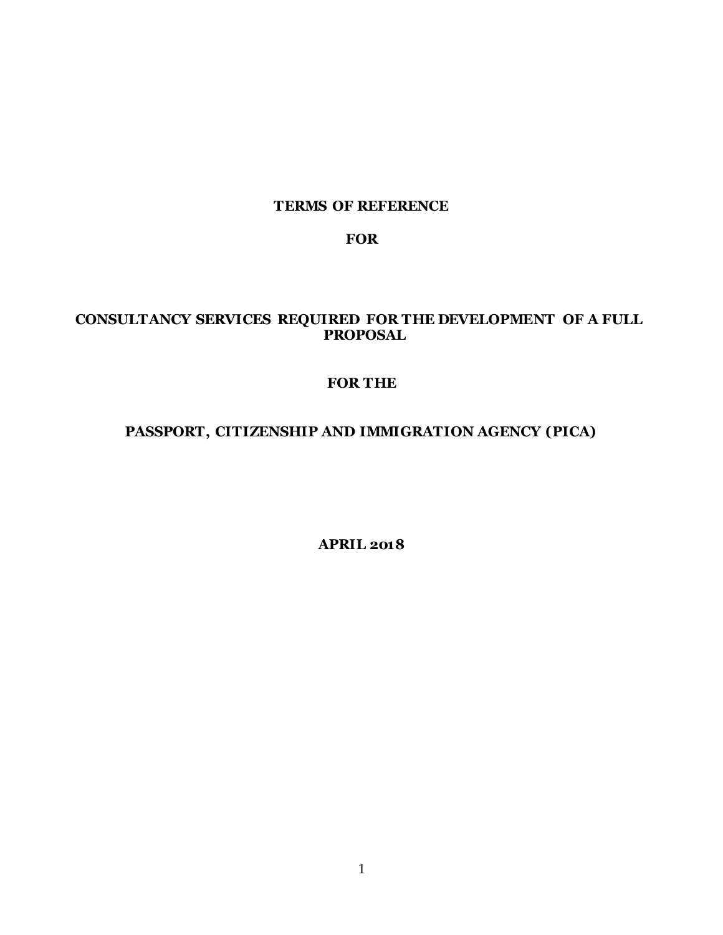#### **TERMS OF REFERENCE**

#### **FOR**

#### **CONSULTANCY SERVICES REQUIRED FOR THE DEVELOPMENT OF A FULL PROPOSAL**

### **FOR THE**

# **PASSPORT, CITIZENSHIP AND IMMIGRATION AGENCY (PICA)**

**APRIL 2018**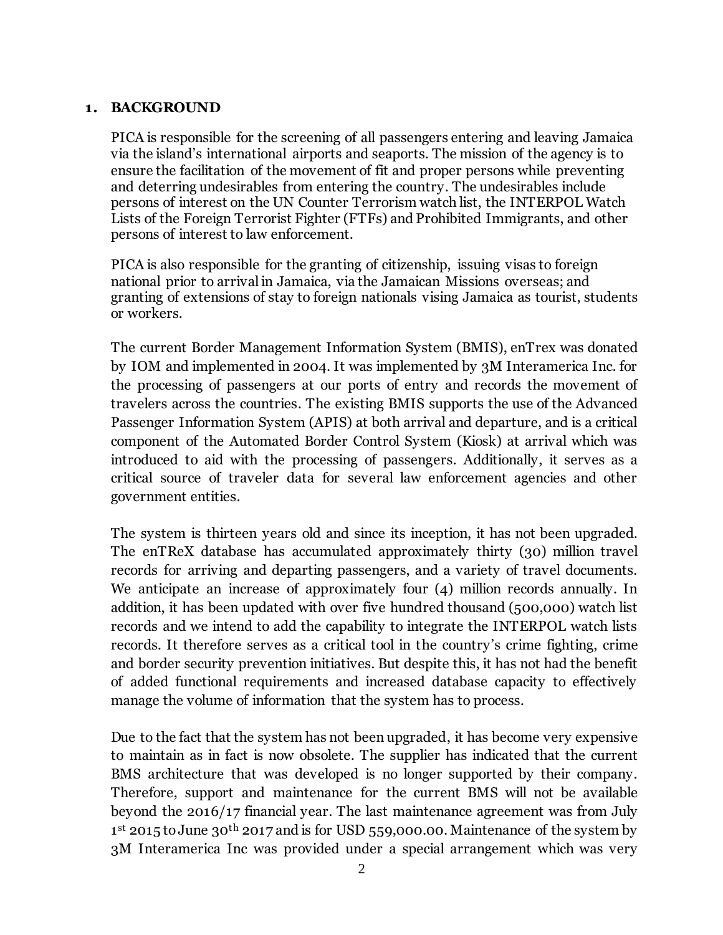#### **1. BACKGROUND**

PICA is responsible for the screening of all passengers entering and leaving Jamaica via the island's international airports and seaports. The mission of the agency is to ensure the facilitation of the movement of fit and proper persons while preventing and deterring undesirables from entering the country. The undesirables include persons of interest on the UN Counter Terrorism watch list, the INTERPOL Watch Lists of the Foreign Terrorist Fighter (FTFs) and Prohibited Immigrants, and other persons of interest to law enforcement.

PICA is also responsible for the granting of citizenship, issuing visas to foreign national prior to arrival in Jamaica, via the Jamaican Missions overseas; and granting of extensions of stay to foreign nationals vising Jamaica as tourist, students or workers.

The current Border Management Information System (BMIS), enTrex was donated by IOM and implemented in 2004. It was implemented by 3M Interamerica Inc. for the processing of passengers at our ports of entry and records the movement of travelers across the countries. The existing BMIS supports the use of the Advanced Passenger Information System (APIS) at both arrival and departure, and is a critical component of the Automated Border Control System (Kiosk) at arrival which was introduced to aid with the processing of passengers. Additionally, it serves as a critical source of traveler data for several law enforcement agencies and other government entities.

The system is thirteen years old and since its inception, it has not been upgraded. The enTReX database has accumulated approximately thirty (30) million travel records for arriving and departing passengers, and a variety of travel documents. We anticipate an increase of approximately four (4) million records annually. In addition, it has been updated with over five hundred thousand (500,000) watch list records and we intend to add the capability to integrate the INTERPOL watch lists records. It therefore serves as a critical tool in the country's crime fighting, crime and border security prevention initiatives. But despite this, it has not had the benefit of added functional requirements and increased database capacity to effectively manage the volume of information that the system has to process.

Due to the fact that the system has not been upgraded, it has become very expensive to maintain as in fact is now obsolete. The supplier has indicated that the current BMS architecture that was developed is no longer supported by their company. Therefore, support and maintenance for the current BMS will not be available beyond the 2016/17 financial year. The last maintenance agreement was from July 1<sup>st</sup> 2015 to June 30<sup>th</sup> 2017 and is for USD 559,000.00. Maintenance of the system by 3M Interamerica Inc was provided under a special arrangement which was very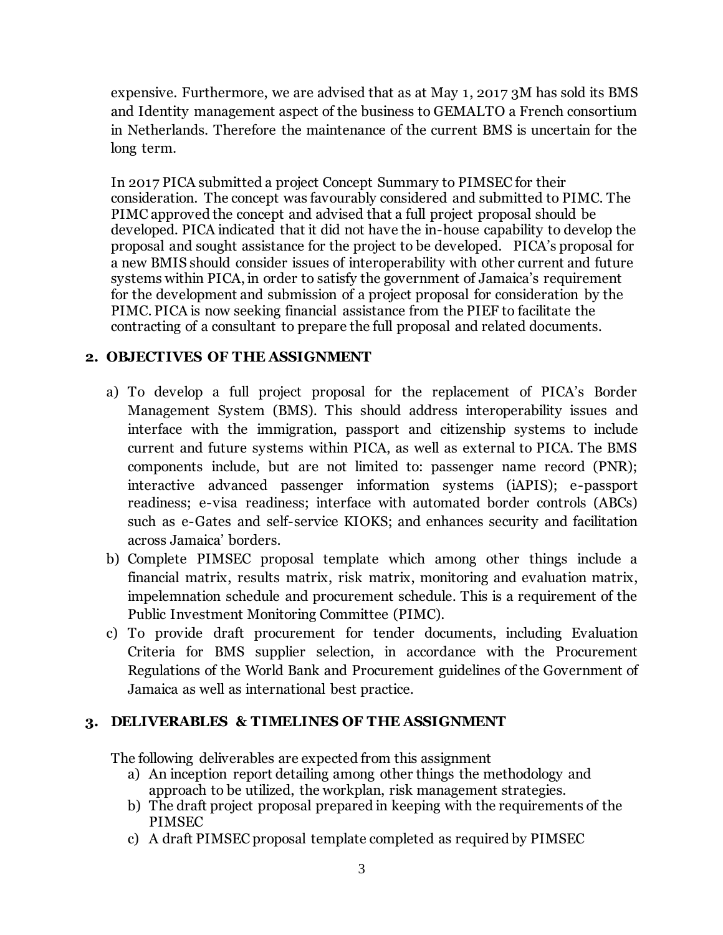expensive. Furthermore, we are advised that as at May 1, 2017 3M has sold its BMS and Identity management aspect of the business to GEMALTO a French consortium in Netherlands. Therefore the maintenance of the current BMS is uncertain for the long term.

In 2017 PICA submitted a project Concept Summary to PIMSEC for their consideration. The concept was favourably considered and submitted to PIMC. The PIMC approved the concept and advised that a full project proposal should be developed. PICA indicated that it did not have the in-house capability to develop the proposal and sought assistance for the project to be developed. PICA's proposal for a new BMIS should consider issues of interoperability with other current and future systems within PICA, in order to satisfy the government of Jamaica's requirement for the development and submission of a project proposal for consideration by the PIMC. PICA is now seeking financial assistance from the PIEF to facilitate the contracting of a consultant to prepare the full proposal and related documents.

# **2. OBJECTIVES OF THE ASSIGNMENT**

- a) To develop a full project proposal for the replacement of PICA's Border Management System (BMS). This should address interoperability issues and interface with the immigration, passport and citizenship systems to include current and future systems within PICA, as well as external to PICA. The BMS components include, but are not limited to: passenger name record (PNR); interactive advanced passenger information systems (iAPIS); e-passport readiness; e-visa readiness; interface with automated border controls (ABCs) such as e-Gates and self-service KIOKS; and enhances security and facilitation across Jamaica' borders.
- b) Complete PIMSEC proposal template which among other things include a financial matrix, results matrix, risk matrix, monitoring and evaluation matrix, impelemnation schedule and procurement schedule. This is a requirement of the Public Investment Monitoring Committee (PIMC).
- c) To provide draft procurement for tender documents, including Evaluation Criteria for BMS supplier selection, in accordance with the Procurement Regulations of the World Bank and Procurement guidelines of the Government of Jamaica as well as international best practice.

## **3. DELIVERABLES & TIMELINES OF THE ASSIGNMENT**

The following deliverables are expected from this assignment

- a) An inception report detailing among other things the methodology and approach to be utilized, the workplan, risk management strategies.
- b) The draft project proposal prepared in keeping with the requirements of the PIMSEC
- c) A draft PIMSEC proposal template completed as required by PIMSEC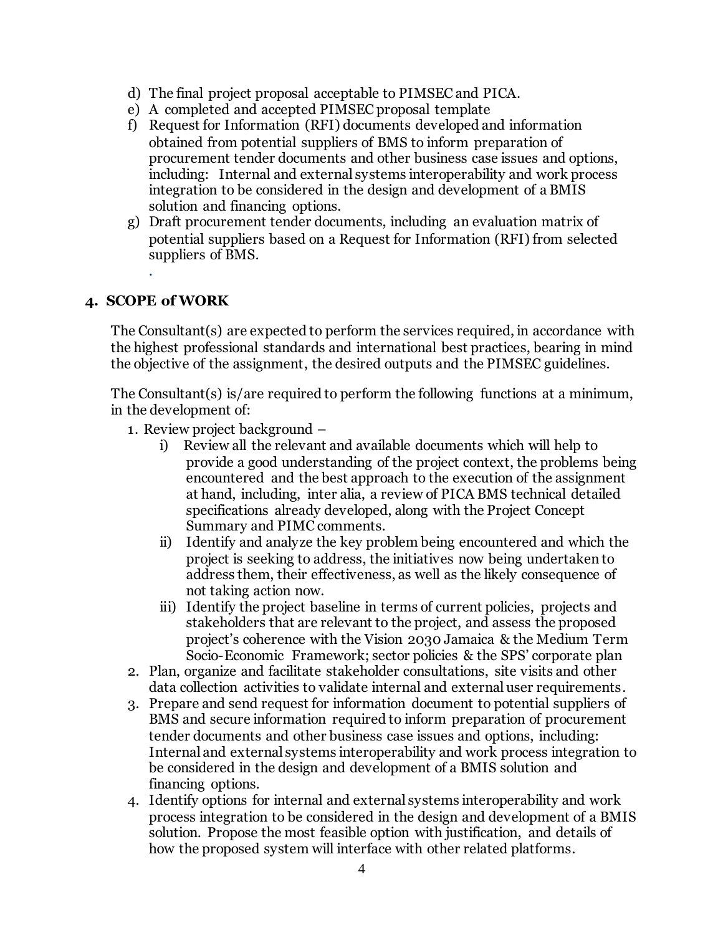- d) The final project proposal acceptable to PIMSEC and PICA.
- e) A completed and accepted PIMSEC proposal template
- f) Request for Information (RFI) documents developed and information obtained from potential suppliers of BMS to inform preparation of procurement tender documents and other business case issues and options, including: Internal and external systems interoperability and work process integration to be considered in the design and development of a BMIS solution and financing options.
- g) Draft procurement tender documents, including an evaluation matrix of potential suppliers based on a Request for Information (RFI) from selected suppliers of BMS.

#### **4. SCOPE of WORK**

.

The Consultant(s) are expected to perform the services required, in accordance with the highest professional standards and international best practices, bearing in mind the objective of the assignment, the desired outputs and the PIMSEC guidelines.

The Consultant(s) is/are required to perform the following functions at a minimum, in the development of:

- 1. Review project background
	- i) Review all the relevant and available documents which will help to provide a good understanding of the project context, the problems being encountered and the best approach to the execution of the assignment at hand, including, inter alia, a review of PICA BMS technical detailed specifications already developed, along with the Project Concept Summary and PIMC comments.
	- ii) Identify and analyze the key problem being encountered and which the project is seeking to address, the initiatives now being undertaken to address them, their effectiveness, as well as the likely consequence of not taking action now.
	- iii) Identify the project baseline in terms of current policies, projects and stakeholders that are relevant to the project, and assess the proposed project's coherence with the Vision 2030 Jamaica & the Medium Term Socio-Economic Framework; sector policies & the SPS' corporate plan
- 2. Plan, organize and facilitate stakeholder consultations, site visits and other data collection activities to validate internal and external user requirements.
- 3. Prepare and send request for information document to potential suppliers of BMS and secure information required to inform preparation of procurement tender documents and other business case issues and options, including: Internal and external systems interoperability and work process integration to be considered in the design and development of a BMIS solution and financing options.
- 4. Identify options for internal and external systems interoperability and work process integration to be considered in the design and development of a BMIS solution. Propose the most feasible option with justification, and details of how the proposed system will interface with other related platforms.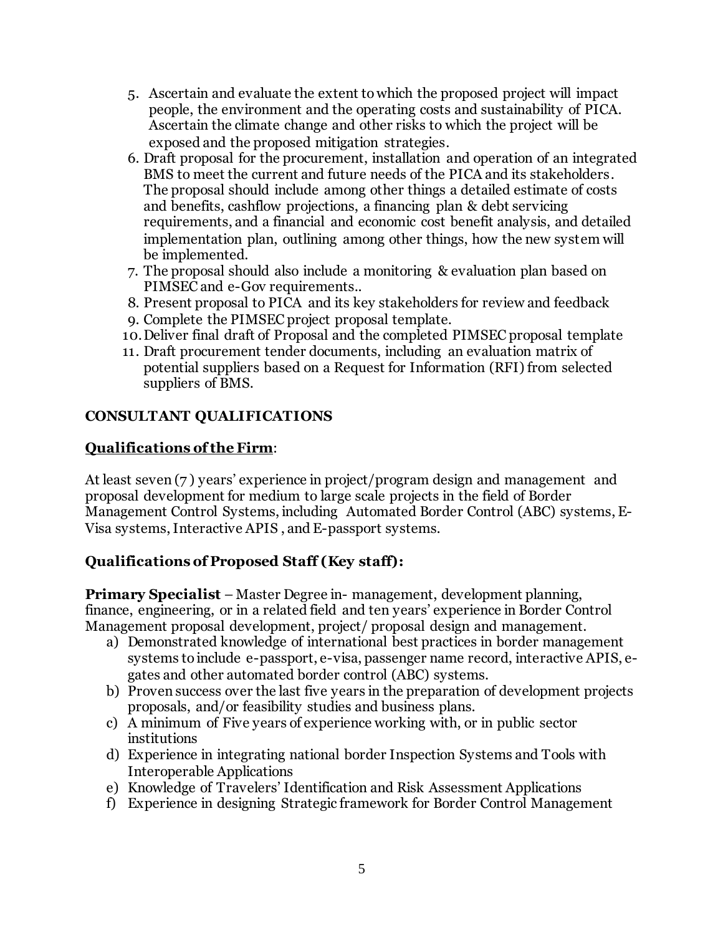- 5. Ascertain and evaluate the extent to which the proposed project will impact people, the environment and the operating costs and sustainability of PICA. Ascertain the climate change and other risks to which the project will be exposed and the proposed mitigation strategies.
- 6. Draft proposal for the procurement, installation and operation of an integrated BMS to meet the current and future needs of the PICA and its stakeholders. The proposal should include among other things a detailed estimate of costs and benefits, cashflow projections, a financing plan & debt servicing requirements, and a financial and economic cost benefit analysis, and detailed implementation plan, outlining among other things, how the new system will be implemented.
- 7. The proposal should also include a monitoring & evaluation plan based on PIMSEC and e-Gov requirements..
- 8. Present proposal to PICA and its key stakeholders for review and feedback
- 9. Complete the PIMSEC project proposal template.
- 10.Deliver final draft of Proposal and the completed PIMSEC proposal template
- 11. Draft procurement tender documents, including an evaluation matrix of potential suppliers based on a Request for Information (RFI) from selected suppliers of BMS.

# **CONSULTANT QUALIFICATIONS**

# **Qualifications of the Firm**:

At least seven (7 ) years' experience in project/program design and management and proposal development for medium to large scale projects in the field of Border Management Control Systems, including Automated Border Control (ABC) systems, E-Visa systems, Interactive APIS , and E-passport systems.

# **Qualifications of Proposed Staff (Key staff):**

**Primary Specialist** – Master Degree in- management, development planning, finance, engineering, or in a related field and ten years' experience in Border Control Management proposal development, project/ proposal design and management.

- a) Demonstrated knowledge of international best practices in border management systems to include e-passport, e-visa, passenger name record, interactive APIS, egates and other automated border control (ABC) systems.
- b) Proven success over the last five years in the preparation of development projects proposals, and/or feasibility studies and business plans.
- c) A minimum of Five years of experience working with, or in public sector institutions
- d) Experience in integrating national border Inspection Systems and Tools with Interoperable Applications
- e) Knowledge of Travelers' Identification and Risk Assessment Applications
- f) Experience in designing Strategic framework for Border Control Management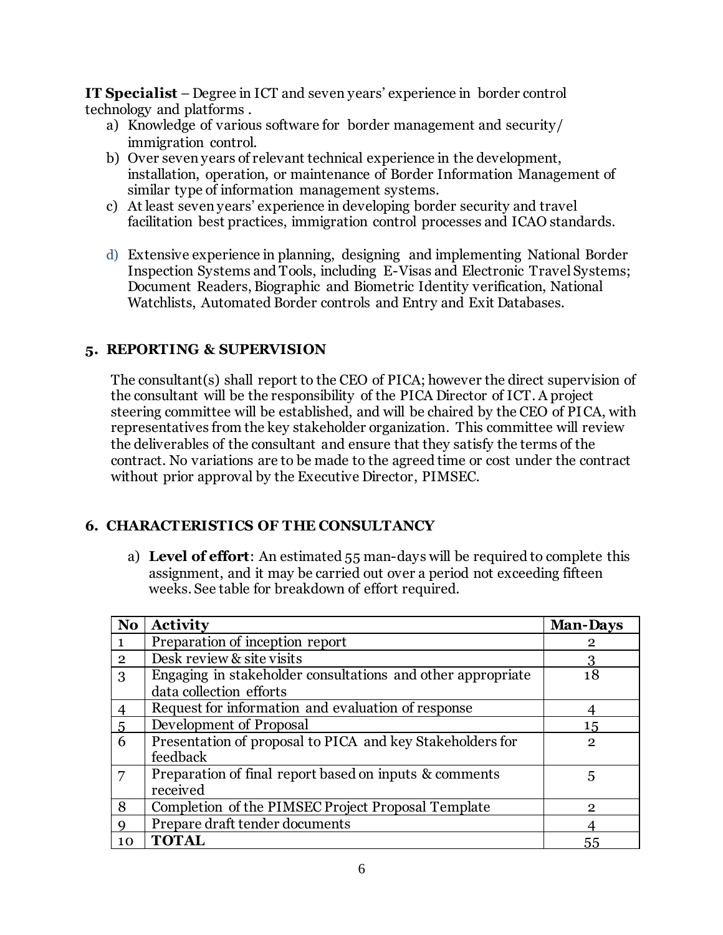**IT Specialist** – Degree in ICT and seven years' experience in border control technology and platforms .

- a) Knowledge of various software for border management and security/ immigration control.
- b) Over seven years of relevant technical experience in the development, installation, operation, or maintenance of Border Information Management of similar type of information management systems.
- c) At least seven years' experience in developing border security and travel facilitation best practices, immigration control processes and ICAO standards.
- d) Extensive experience in planning, designing and implementing National Border Inspection Systems and Tools, including E-Visas and Electronic Travel Systems; Document Readers, Biographic and Biometric Identity verification, National Watchlists, Automated Border controls and Entry and Exit Databases.

### **5. REPORTING & SUPERVISION**

The consultant(s) shall report to the CEO of PICA; however the direct supervision of the consultant will be the responsibility of the PICA Director of ICT. A project steering committee will be established, and will be chaired by the CEO of PICA, with representatives from the key stakeholder organization. This committee will review the deliverables of the consultant and ensure that they satisfy the terms of the contract. No variations are to be made to the agreed time or cost under the contract without prior approval by the Executive Director, PIMSEC.

## **6. CHARACTERISTICS OF THE CONSULTANCY**

a) **Level of effort**: An estimated 55 man-days will be required to complete this assignment, and it may be carried out over a period not exceeding fifteen weeks. See table for breakdown of effort required.

| N <sub>0</sub> | <b>Activity</b>                                             | <b>Man-Days</b> |
|----------------|-------------------------------------------------------------|-----------------|
|                | Preparation of inception report                             | 2               |
| $\mathfrak{p}$ | Desk review & site visits                                   |                 |
| 3              | Engaging in stakeholder consultations and other appropriate | 18              |
|                | data collection efforts                                     |                 |
|                | Request for information and evaluation of response          |                 |
| 5              | Development of Proposal                                     | 15              |
| 6              | Presentation of proposal to PICA and key Stakeholders for   | $\mathbf{2}$    |
|                | feedback                                                    |                 |
|                | Preparation of final report based on inputs & comments      | 5               |
|                | received                                                    |                 |
| 8              | Completion of the PIMSEC Project Proposal Template          | 2               |
|                | Prepare draft tender documents                              |                 |
| 10             | <b>TOTAL</b>                                                | 55              |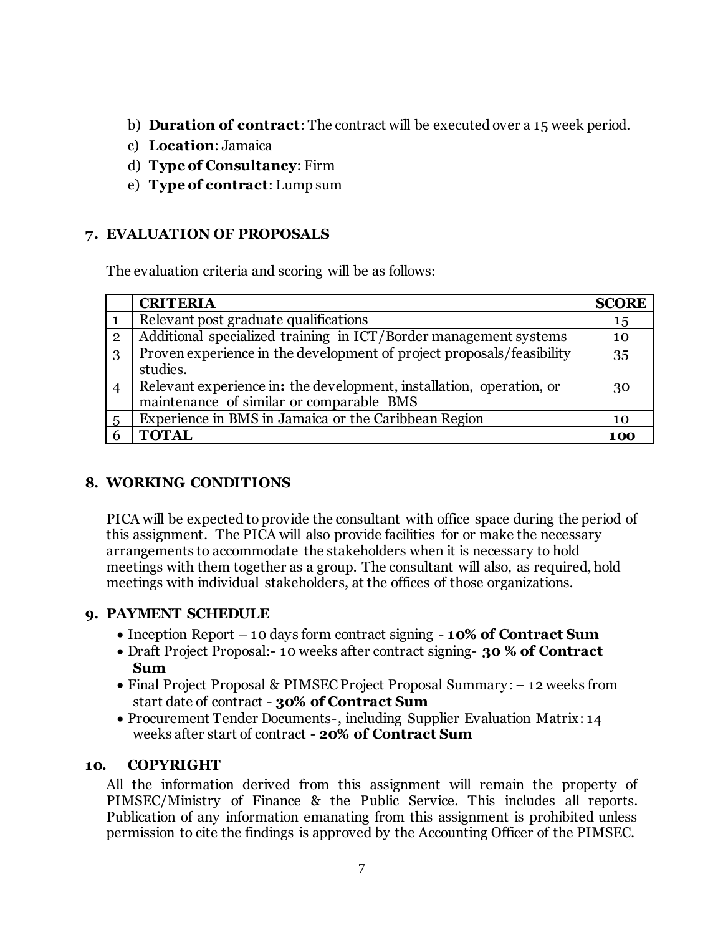- b) **Duration of contract**: The contract will be executed over a 15 week period.
- c) **Location**: Jamaica
- d) **Type of Consultancy**: Firm
- e) **Type of contract**: Lump sum

### **7. EVALUATION OF PROPOSALS**

The evaluation criteria and scoring will be as follows:

|                 | <b>CRITERIA</b>                                                                                                  | <b>SCORE</b> |
|-----------------|------------------------------------------------------------------------------------------------------------------|--------------|
|                 | Relevant post graduate qualifications                                                                            | 15           |
| $\overline{2}$  | Additional specialized training in ICT/Border management systems                                                 | 10           |
| 3               | Proven experience in the development of project proposals/feasibility<br>studies.                                | 35           |
| $\overline{4}$  | Relevant experience in: the development, installation, operation, or<br>maintenance of similar or comparable BMS | 30           |
| $5\overline{)}$ | Experience in BMS in Jamaica or the Caribbean Region                                                             | 10           |
| 6               | <b>TOTAL</b>                                                                                                     | 100          |

## **8. WORKING CONDITIONS**

PICA will be expected to provide the consultant with office space during the period of this assignment. The PICA will also provide facilities for or make the necessary arrangements to accommodate the stakeholders when it is necessary to hold meetings with them together as a group. The consultant will also, as required, hold meetings with individual stakeholders, at the offices of those organizations.

#### **9. PAYMENT SCHEDULE**

- Inception Report 10 days form contract signing **10% of Contract Sum**
- Draft Project Proposal:- 10 weeks after contract signing- **30 % of Contract Sum**
- Final Project Proposal & PIMSEC Project Proposal Summary: 12 weeks from start date of contract - **30% of Contract Sum**
- Procurement Tender Documents-, including Supplier Evaluation Matrix: 14 weeks after start of contract - **20% of Contract Sum**

#### **10. COPYRIGHT**

All the information derived from this assignment will remain the property of PIMSEC/Ministry of Finance & the Public Service. This includes all reports. Publication of any information emanating from this assignment is prohibited unless permission to cite the findings is approved by the Accounting Officer of the PIMSEC.